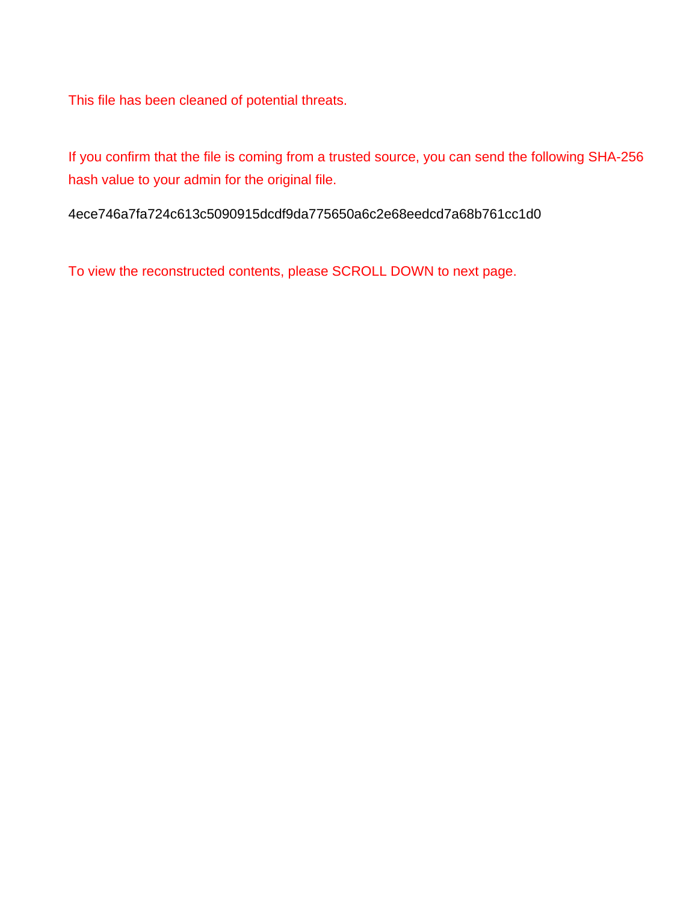This file has been cleaned of potential threats.

If you confirm that the file is coming from a trusted source, you can send the following SHA-256 hash value to your admin for the original file.

4ece746a7fa724c613c5090915dcdf9da775650a6c2e68eedcd7a68b761cc1d0

To view the reconstructed contents, please SCROLL DOWN to next page.